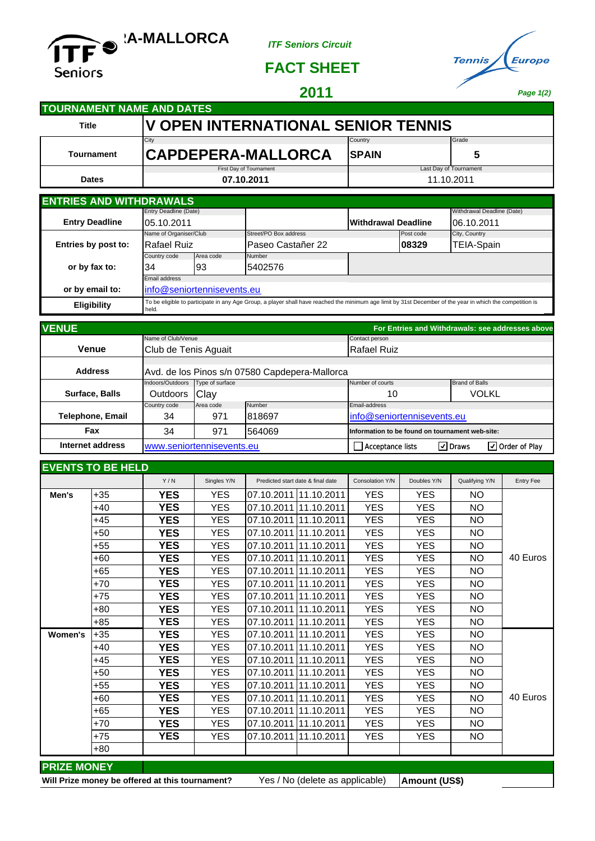# **CAPPER CAPTER CAPTERS** <sup>2</sup> *A*-MALLORCA *ITF Seniors Circuit*



## **Seniors**

 **FACT SHEET**

### **2011** *Page 1(2)*

| <b>TOURNAMENT NAME AND DATES</b> |                                       |                                           |                                                                                                                                                            |                         |                                      |                                          |  |  |
|----------------------------------|---------------------------------------|-------------------------------------------|------------------------------------------------------------------------------------------------------------------------------------------------------------|-------------------------|--------------------------------------|------------------------------------------|--|--|
| <b>Title</b>                     |                                       | <b>V OPEN INTERNATIONAL SENIOR TENNIS</b> |                                                                                                                                                            |                         |                                      |                                          |  |  |
| Tournament                       | City                                  |                                           | <b>CAPDEPERA-MALLORCA</b>                                                                                                                                  | Country<br><b>SPAIN</b> |                                      | Grade<br>5                               |  |  |
| <b>Dates</b>                     |                                       | First Day of Tournament<br>07.10.2011     |                                                                                                                                                            |                         | Last Day of Tournament<br>11.10.2011 |                                          |  |  |
|                                  | <b>ENTRIES AND WITHDRAWALS</b>        |                                           |                                                                                                                                                            |                         |                                      |                                          |  |  |
| <b>Entry Deadline</b>            | Entry Deadline (Date)<br>05.10.2011   |                                           |                                                                                                                                                            | Withdrawal Deadline     |                                      | Withdrawal Deadline (Date)<br>06.10.2011 |  |  |
| Entries by post to:              | Name of Organiser/Club<br>Rafael Ruiz |                                           | Street/PO Box address<br>Paseo Castañer 22                                                                                                                 |                         | Post code<br>08329                   | City, Country<br><b>TEIA-Spain</b>       |  |  |
| or by fax to:                    | Country code<br>34                    | Area code<br>93                           | Number<br>5402576                                                                                                                                          |                         |                                      |                                          |  |  |
| or by email to:                  | Email address                         | info@seniortennisevents.eu                |                                                                                                                                                            |                         |                                      |                                          |  |  |
| <b>Eligibility</b>               | held.                                 |                                           | To be eligible to participate in any Age Group, a player shall have reached the minimum age limit by 31st December of the year in which the competition is |                         |                                      |                                          |  |  |

| <b>VENUE</b>     |                           |                 |                                                |                                                 | For Entries and Withdrawals: see addresses above |  |
|------------------|---------------------------|-----------------|------------------------------------------------|-------------------------------------------------|--------------------------------------------------|--|
|                  | Name of Club/Venue        |                 |                                                | Contact person                                  |                                                  |  |
| <b>Venue</b>     | Club de Tenis Aguait      |                 |                                                | Rafael Ruiz                                     |                                                  |  |
| <b>Address</b>   |                           |                 | Avd. de los Pinos s/n 07580 Capdepera-Mallorca |                                                 |                                                  |  |
|                  | Indoors/Outdoors          | Type of surface |                                                | Number of courts                                | <b>Brand of Balls</b>                            |  |
| Surface, Balls   | <b>Outdoors</b>           | Clay            |                                                | 10                                              | <b>VOLKL</b>                                     |  |
|                  | Country code              | Area code       | Number                                         | Email-address                                   |                                                  |  |
| Telephone, Email | 34                        | 971             | 818697                                         | info@seniortennisevents.eu                      |                                                  |  |
| Fax              | 34                        | 971             | 564069                                         | Information to be found on tournament web-site: |                                                  |  |
| Internet address | www.seniortennisevents.eu |                 |                                                | Acceptance lists                                | $\sqrt{ }$ Draws<br>V Order of Play              |  |

#### **EVENTS TO BE HELD**

|                    | EVENTO TO DE HELD |            |             |                                   |                 |             |                |           |
|--------------------|-------------------|------------|-------------|-----------------------------------|-----------------|-------------|----------------|-----------|
|                    |                   | Y/N        | Singles Y/N | Predicted start date & final date | Consolation Y/N | Doubles Y/N | Qualifying Y/N | Entry Fee |
| Men's              | $+35$             | <b>YES</b> | <b>YES</b>  | 07.10.2011 11.10.2011             | <b>YES</b>      | <b>YES</b>  | NO.            |           |
|                    | $+40$             | <b>YES</b> | YES.        | 07.10.2011 11.10.2011             | YES.            | YES.        | NO.            |           |
|                    | +45               | <b>YES</b> | <b>YES</b>  | 07.10.2011 11.10.2011             | <b>YES</b>      | YES.        | NO             |           |
|                    | $+50$             | <b>YES</b> | <b>YES</b>  | 07.10.2011 11.10.2011             | <b>YES</b>      | <b>YES</b>  | <b>NO</b>      |           |
|                    | $+55$             | <b>YES</b> | <b>YES</b>  | 07.10.2011 11.10.2011             | <b>YES</b>      | <b>YES</b>  | NO.            |           |
|                    | $+60$             | <b>YES</b> | <b>YES</b>  | 07.10.2011 11.10.2011             | <b>YES</b>      | <b>YES</b>  | <b>NO</b>      | 40 Euros  |
|                    | $+65$             | <b>YES</b> | YES.        | 07.10.2011 11.10.2011             | YES.            | YES.        | NO.            |           |
|                    | $+70$             | <b>YES</b> | <b>YES</b>  | 07.10.2011 11.10.2011             | <b>YES</b>      | <b>YES</b>  | <b>NO</b>      |           |
|                    | $+75$             | <b>YES</b> | YES.        | 07.10.2011 11.10.2011             | YES.            | <b>YES</b>  | NO.            |           |
|                    | $+80$             | <b>YES</b> | <b>YES</b>  | 07.10.2011 11.10.2011             | <b>YES</b>      | <b>YES</b>  | NO.            |           |
|                    | $+85$             | <b>YES</b> | <b>YES</b>  | 07.10.2011 11.10.2011             | <b>YES</b>      | <b>YES</b>  | <b>NO</b>      |           |
| Women's            | $+35$             | <b>YES</b> | <b>YES</b>  | 07.10.2011 11.10.2011             | <b>YES</b>      | <b>YES</b>  | NO.            |           |
|                    | $+40$             | <b>YES</b> | YES.        | 07.10.2011 11.10.2011             | YES.            | <b>YES</b>  | NO.            |           |
|                    | $+45$             | <b>YES</b> | <b>YES</b>  | 07.10.2011 11.10.2011             | <b>YES</b>      | YES.        | NO             |           |
|                    | $+50$             | <b>YES</b> | <b>YES</b>  | 07.10.2011 11.10.2011             | <b>YES</b>      | <b>YES</b>  | NO.            |           |
|                    | $+55$             | <b>YES</b> | <b>YES</b>  | 07.10.2011 11.10.2011             | <b>YES</b>      | <b>YES</b>  | NO.            |           |
|                    | $+60$             | <b>YES</b> | <b>YES</b>  | 07.10.2011 11.10.2011             | <b>YES</b>      | <b>YES</b>  | <b>NO</b>      | 40 Euros  |
|                    | $+65$             | <b>YES</b> | <b>YES</b>  | 07.10.2011 11.10.2011             | <b>YES</b>      | <b>YES</b>  | NO.            |           |
|                    | $+70$             | <b>YES</b> | <b>YES</b>  | 07.10.2011 11.10.2011             | <b>YES</b>      | YES.        | NO             |           |
|                    | $+75$             | <b>YES</b> | YES.        | 07.10.2011 11.10.2011             | YES.            | YES.        | NO.            |           |
|                    | $+80$             |            |             |                                   |                 |             |                |           |
| <b>PRIZE MONEY</b> |                   |            |             |                                   |                 |             |                |           |

**Will Prize money be offered at this tournament?** Yes / No (delete as applicable)  $\vert$  **Amount (US\$)** 

Yes / No (delete as applicable)